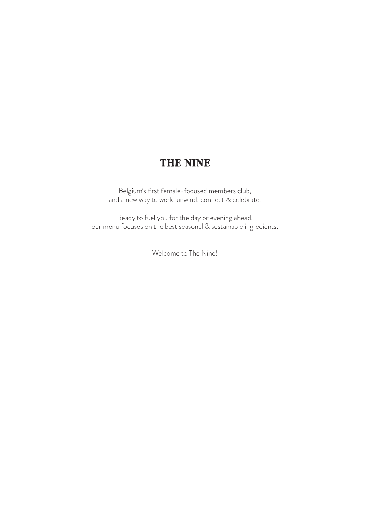## THE NINE

Belgium's first female-focused members club, and a new way to work, unwind, connect & celebrate.

Ready to fuel you for the day or evening ahead, our menu focuses on the best seasonal & sustainable ingredients.

Welcome to The Nine!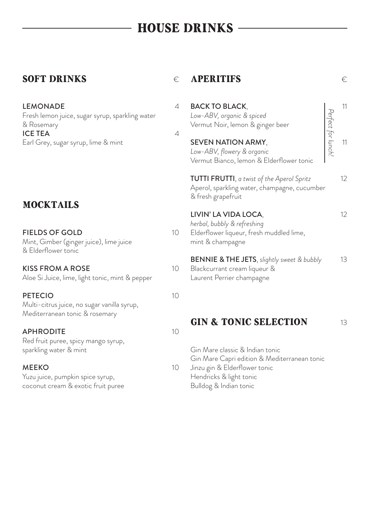# HOUSE DRINKS

### SOFT DRINKS  $\epsilon$

LEMONADE 4 Fresh lemon juice, sugar syrup, sparkling water & Rosemary ICE TEA $4$ Earl Grey, sugar syrup, lime & mint

## MOCKTAILS

| <b>FIELDS OF GOLD</b>                   | 10 |
|-----------------------------------------|----|
| Mint, Gimber (ginger juice), lime juice |    |
| & Elderflower tonic                     |    |

#### KISS FROM A ROSE 10

Aloe Si Juice, lime, light tonic, mint & pepper

#### PETECIO 10

Multi-citrus juice, no sugar vanilla syrup, Mediterranean tonic & rosemary

#### APHRODITE 10

Red fruit puree, spicy mango syrup, sparkling water & mint

#### MEEKO 10

Yuzu juice, pumpkin spice syrup, coconut cream & exotic fruit puree

### APERITIFS €

| <b>BACK TO BLACK,</b><br>Low-ABV, organic & spiced<br>Vermut Noir, lemon & ginger beer                              | erfect for lunch! | 11 |
|---------------------------------------------------------------------------------------------------------------------|-------------------|----|
| <b>SEVEN NATION ARMY,</b><br>Low-ABV, flowery & organic<br>Vermut Bianco, lemon & Elderflower tonic                 |                   | 11 |
| TUTTI FRUTTI, a twist of the Aperol Spritz<br>Aperol, sparkling water, champagne, cucumber<br>& fresh grapefruit    |                   | 12 |
| LIVIN' LA VIDA LOCA,<br>herbal, bubbly & refreshing<br>Elderflower liqueur, fresh muddled lime,<br>mint & champagne |                   | 12 |

BENNIE & THE JETS, *slightly sweet & bubbly* 13 Blackcurrant cream liqueur & Laurent Perrier champagne

#### **GIN & TONIC SELECTION** 13

Gin Mare classic & Indian tonic Gin Mare Capri edition & Mediterranean tonic Jinzu gin & Elderflower tonic Hendricks & light tonic Bulldog & Indian tonic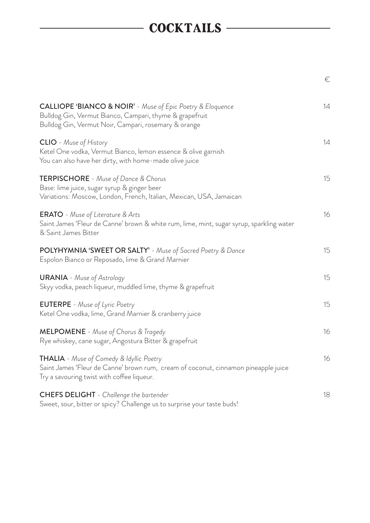# COCKTAILS

|                                                                                                                                                                                          | €  |
|------------------------------------------------------------------------------------------------------------------------------------------------------------------------------------------|----|
| <b>CALLIOPE 'BIANCO &amp; NOIR'</b> - Muse of Epic Poetry & Eloquence<br>Bulldog Gin, Vermut Bianco, Campari, thyme & grapefruit<br>Bulldog Gin, Vermut Noir, Campari, rosemary & orange | 14 |
| <b>CLIO</b> - Muse of History<br>Ketel One vodka, Vermut Bianco, lemon essence & olive garnish<br>You can also have her dirty, with home-made olive juice                                | 14 |
| <b>TERPISCHORE</b> - Muse of Dance & Chorus<br>Base: lime juice, sugar syrup & ginger beer<br>Variations: Moscow, London, French, Italian, Mexican, USA, Jamaican                        | 15 |
| <b>ERATO</b> - Muse of Literature & Arts<br>Saint James 'Fleur de Canne' brown & white rum, lime, mint, sugar syrup, sparkling water<br>& Saint James Bitter                             | 16 |
| POLYHYMNIA 'SWEET OR SALTY' - Muse of Sacred Poetry & Dance<br>Espolon Bianco or Reposado, lime & Grand Marnier                                                                          | 15 |
| <b>URANIA</b> - Muse of Astrology<br>Skyy vodka, peach liqueur, muddled lime, thyme & grapefruit                                                                                         | 15 |
| <b>EUTERPE</b> - Muse of Lyric Poetry<br>Ketel One vodka, lime, Grand Marnier & cranberry juice                                                                                          | 15 |
| <b>MELPOMENE</b> - Muse of Chorus & Tragedy<br>Rye whiskey, cane sugar, Angostura Bitter & grapefruit                                                                                    | 16 |
| THALIA - Muse of Comedy & Idyllic Poetry<br>Saint James 'Fleur de Canne' brown rum, cream of coconut, cinnamon pineapple juice<br>Try a savouring twist with coffee liqueur.             | 16 |
| <b>CHEFS DELIGHT</b> - Challenge the bartender<br>Sweet, sour, bitter or spicy? Challenge us to surprise your taste buds!                                                                | 18 |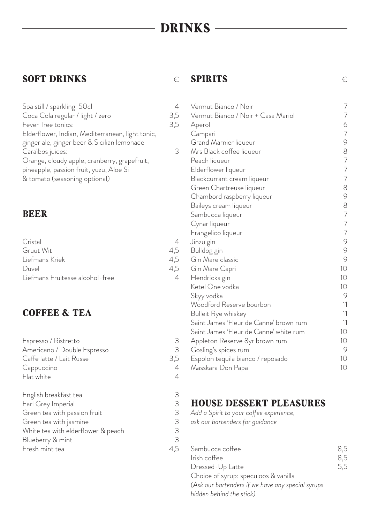# DRINKS -

### SOFT DRINKS  $\epsilon$

| Spa still / sparkling 50cl                       | 4   |
|--------------------------------------------------|-----|
| Coca Cola regular / light / zero                 | 3,5 |
| Fever Tree tonics:                               | 3,5 |
| Elderflower, Indian, Mediterranean, light tonic, |     |
| ginger ale, ginger beer & Sicilian lemonade      |     |
| Caraïbos juices:                                 | 3   |
| Orange, cloudy apple, cranberry, grapefruit,     |     |
| pineapple, passion fruit, yuzu, Aloe Si          |     |
| & tomato (seasoning optional)                    |     |

#### BEER

| Cristal                         |     |
|---------------------------------|-----|
| Gruut Wit                       | 4,5 |
| Liefmans Kriek                  | 4,5 |
| Duvel                           | 4,5 |
| Liefmans Fruitesse alcohol-free |     |
|                                 |     |

## COFFEE & TEA

| Espresso / Ristretto               | 3   |
|------------------------------------|-----|
| Americano / Double Espresso        | 3   |
| Caffe latte / Lait Russe           | 3,5 |
| Cappuccino                         | 4   |
| Flat white                         | 4   |
| English breakfast tea              | 3   |
| Earl Grey Imperial                 | 3   |
| Green tea with passion fruit       | 3   |
| Green tea with jasmine             | 3   |
| White tea with elderflower & peach | 3   |
| Blueberry & mint                   | 3   |
| Fresh mint tea                     | 4,5 |
|                                    |     |

### SPIRITS  $\epsilon$

| $\downarrow$    | Vermut Bianco / Noir                   | $\overline{ }$                        |
|-----------------|----------------------------------------|---------------------------------------|
|                 | Vermut Bianco / Noir + Casa Mariol     | $\overline{7}$                        |
| ;<br>;<br>)     | Aperol                                 |                                       |
|                 | Campari                                | 6<br>7                                |
|                 | Grand Marnier liqueur                  | $\circ$                               |
|                 | Mrs Black coffee liqueur               |                                       |
|                 | Peach liqueur                          |                                       |
|                 | Elderflower liqueur                    |                                       |
|                 | Blackcurrant cream liqueur             | 8777                                  |
|                 | Green Chartreuse liqueur               | 8                                     |
|                 | Chambord raspberry liqueur             | 9                                     |
|                 | Baileys cream liqueur                  | 8                                     |
|                 | Sambucca liqueur                       |                                       |
|                 | Cynar liqueur                          | $\begin{array}{c} 7 \\ 7 \end{array}$ |
|                 | Frangelico liqueur                     | $\overline{7}$                        |
| $\downarrow$    | Jinzu gin                              | $\circ$                               |
|                 | Bulldog gin                            | 9                                     |
| ら - C<br>C<br>C | Gin Mare classic                       | 9                                     |
|                 | Gin Mare Capri                         | 10                                    |
|                 | Hendricks gin                          | 10                                    |
|                 | Ketel One vodka                        | 10                                    |
|                 | Skyy vodka                             | $\circ$                               |
|                 | Woodford Reserve bourbon               | 11                                    |
|                 | <b>Bulleit Rye whiskey</b>             | 11                                    |
|                 | Saint James 'Fleur de Canne' brown rum | 11                                    |
|                 | Saint James 'Fleur de Canne' white rum | 10                                    |
|                 | Appleton Reserve 8yr brown rum         | 10                                    |
|                 | Gosling's spices rum                   | 9                                     |
| }<br>)<br>)     | Espolon tequila bianco / reposado      | 10                                    |
| ļ               | Masskara Don Papa                      | 10                                    |
|                 |                                        |                                       |

### HOUSE DESSERT PLEASURES

*Add a Spirit to your coffee experience,* 

*ask our bartenders for guidance*

| Sambucca coffee                                   | 8,5 |
|---------------------------------------------------|-----|
| Irish coffee                                      | 8,5 |
| Dressed-Up Latte                                  | 5,5 |
| Choice of syrup: speculoos & vanilla              |     |
| (Ask our bartenders if we have any special syrups |     |
| hidden behind the stick)                          |     |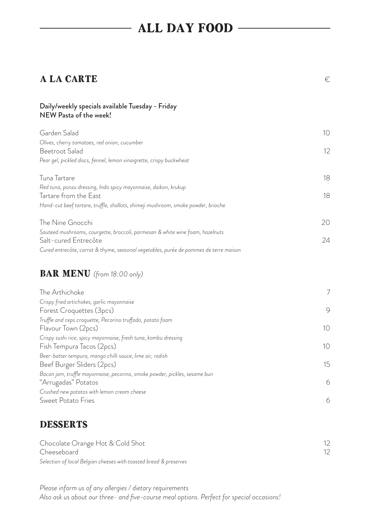# ALL DAY FOOD

### $A LA CARTE$   $\in$

#### Daily/weekly specials available Tuesday - Friday NEW Pasta of the week!

| Garden Salad                                                                          | 10              |
|---------------------------------------------------------------------------------------|-----------------|
| Olives, cherry tomatoes, red onion, cucumber                                          |                 |
| Beetroot Salad                                                                        | 12 <sup>°</sup> |
| Pear gel, pickled discs, fennel, lemon vinaigrette, crispy buckwheat                  |                 |
| Tuna Tartare                                                                          | 18              |
| Red tuna, ponzu dressing, Indo spicy mayonnaise, daikon, krukup                       |                 |
| Tartare from the East                                                                 | 18              |
| Hand-cut beef tartare, truffle, shallots, shimeji mushroom, smoke powder, brioche     |                 |
| The Nine Gnocchi                                                                      | 20              |
| Sauteed mushrooms, courgette, broccoli, parmesan & white wine foam, hazelnuts         |                 |
| Salt-cured Entrecôte                                                                  | 24              |
| Cured entrecôte, carrot & thyme, seasonal vegetables, purée de pommes de terre maison |                 |

### BAR MENU *(from 18:00 only)*

| The Arthichoke                                                             | 7  |
|----------------------------------------------------------------------------|----|
| Crispy fried artichokes, garlic mayonnaise                                 |    |
| Forest Croquettes (3pcs)                                                   | 9  |
| Truffle and ceps croquette, Pecorino truffado, potato foam                 |    |
| Flavour Town (2pcs)                                                        | 10 |
| Crispy sushi rice, spicy mayonnaise, fresh tuna, kombu dressing            |    |
| Fish Tempura Tacos (2pcs)                                                  | 10 |
| Beer-batter tempura, mango chilli sauce, lime air, radish                  |    |
| Beef Burger Sliders (2pcs)                                                 | 15 |
| Bacon jam, truffle mayonnaise, pecorino, smoke powder, pickles, sesame bun |    |
| "Arrugadas" Potatos                                                        | 6  |
| Crushed new potatos with lemon cream cheese                                |    |
| Sweet Potato Fries                                                         | 6  |

## DESSERTS

| Chocolate Orange Hot & Cold Shot                                  |  |
|-------------------------------------------------------------------|--|
| Cheeseboard                                                       |  |
| Selection of local Belgian cheeses with toasted bread & preserves |  |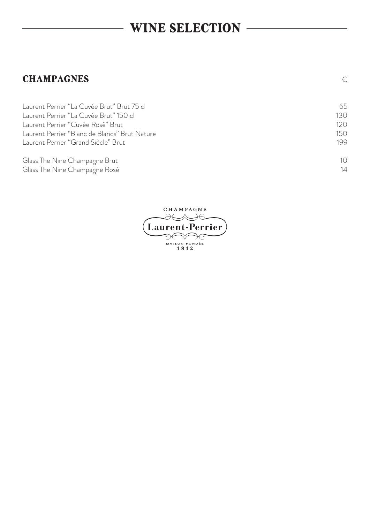## WINE SELECTION

#### **CHAMPAGNES**  $\in$

Laurent Perrier "La Cuvée Brut" Brut 75 cl 65 Laurent Perrier "La Cuvée Brut" 150 cl 130 Laurent Perrier "Cuvée Rosé" Brut 120 Laurent Perrier "Blanc de Blancs" Brut Nature<br>Laurent Perrier "Grand Siècle" Brut 150<br>199 Laurent Perrier "Grand Siècle" Brut Glass The Nine Champagne Brut 10 Glass The Nine Champagne Rosé 14

CHAMPAGNE К Л Ж **Laurent-Perrier** MAISON FONDÉE<br> $1812$